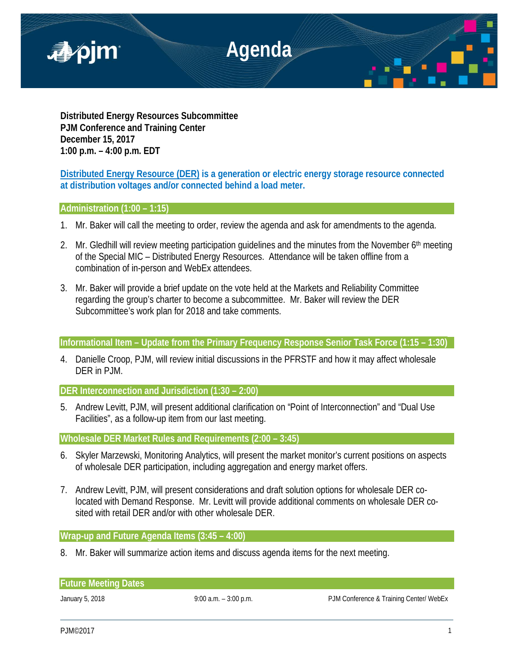

**Distributed Energy Resources Subcommittee PJM Conference and Training Center December 15, 2017 1:00 p.m. – 4:00 p.m. EDT**

**Distributed Energy Resource (DER) is a generation or electric energy storage resource connected at distribution voltages and/or connected behind a load meter.**

# **Administration (1:00 – 1:15)**

- 1. Mr. Baker will call the meeting to order, review the agenda and ask for amendments to the agenda.
- 2. Mr. Gledhill will review meeting participation guidelines and the minutes from the November 6<sup>th</sup> meeting of the Special MIC – Distributed Energy Resources. Attendance will be taken offline from a combination of in-person and WebEx attendees.
- 3. Mr. Baker will provide a brief update on the vote held at the Markets and Reliability Committee regarding the group's charter to become a subcommittee. Mr. Baker will review the DER Subcommittee's work plan for 2018 and take comments.

# **Informational Item – Update from the Primary Frequency Response Senior Task Force (1:15 – 1:30)**

4. Danielle Croop, PJM, will review initial discussions in the PFRSTF and how it may affect wholesale DER in PJM.

## **DER Interconnection and Jurisdiction (1:30 – 2:00)**

5. Andrew Levitt, PJM, will present additional clarification on "Point of Interconnection" and "Dual Use Facilities", as a follow-up item from our last meeting.

**Wholesale DER Market Rules and Requirements (2:00 – 3:45)** 

- 6. Skyler Marzewski, Monitoring Analytics, will present the market monitor's current positions on aspects of wholesale DER participation, including aggregation and energy market offers.
- 7. Andrew Levitt, PJM, will present considerations and draft solution options for wholesale DER colocated with Demand Response. Mr. Levitt will provide additional comments on wholesale DER cosited with retail DER and/or with other wholesale DER.

# **Wrap-up and Future Agenda Items (3:45 – 4:00)**

8. Mr. Baker will summarize action items and discuss agenda items for the next meeting.

**Future Meeting Dates**

January 5, 2018 **19:00 a.m.** – 3:00 p.m. **PJM Conference & Training Center/ WebEx**